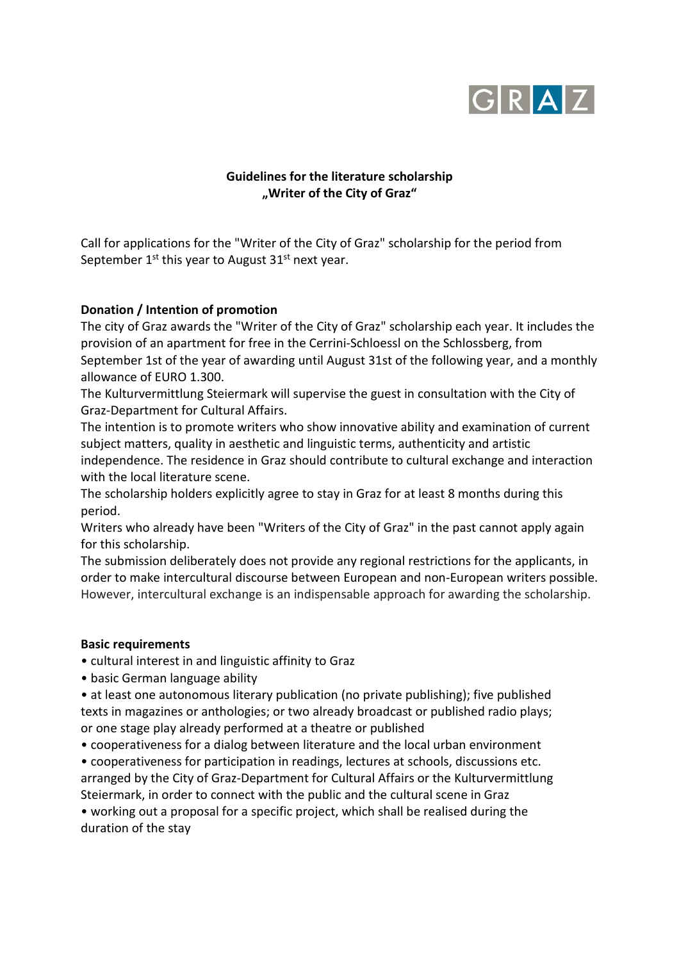

# **Guidelines for the literature scholarship "Writer of the City of Graz"**

Call for applications for the "Writer of the City of Graz" scholarship for the period from September  $1^{st}$  this year to August  $31^{st}$  next year.

## **Donation / Intention of promotion**

The city of Graz awards the "Writer of the City of Graz" scholarship each year. It includes the provision of an apartment for free in the Cerrini-Schloessl on the Schlossberg, from September 1st of the year of awarding until August 31st of the following year, and a monthly allowance of EURO 1.300.

The Kulturvermittlung Steiermark will supervise the guest in consultation with the City of Graz-Department for Cultural Affairs.

The intention is to promote writers who show innovative ability and examination of current subject matters, quality in aesthetic and linguistic terms, authenticity and artistic independence. The residence in Graz should contribute to cultural exchange and interaction with the local literature scene.

The scholarship holders explicitly agree to stay in Graz for at least 8 months during this period.

Writers who already have been "Writers of the City of Graz" in the past cannot apply again for this scholarship.

The submission deliberately does not provide any regional restrictions for the applicants, in order to make intercultural discourse between European and non-European writers possible. However, intercultural exchange is an indispensable approach for awarding the scholarship.

### **Basic requirements**

- cultural interest in and linguistic affinity to Graz
- basic German language ability
- at least one autonomous literary publication (no private publishing); five published texts in magazines or anthologies; or two already broadcast or published radio plays; or one stage play already performed at a theatre or published
- cooperativeness for a dialog between literature and the local urban environment

• cooperativeness for participation in readings, lectures at schools, discussions etc. arranged by the City of Graz-Department for Cultural Affairs or the Kulturvermittlung Steiermark, in order to connect with the public and the cultural scene in Graz

• working out a proposal for a specific project, which shall be realised during the duration of the stay